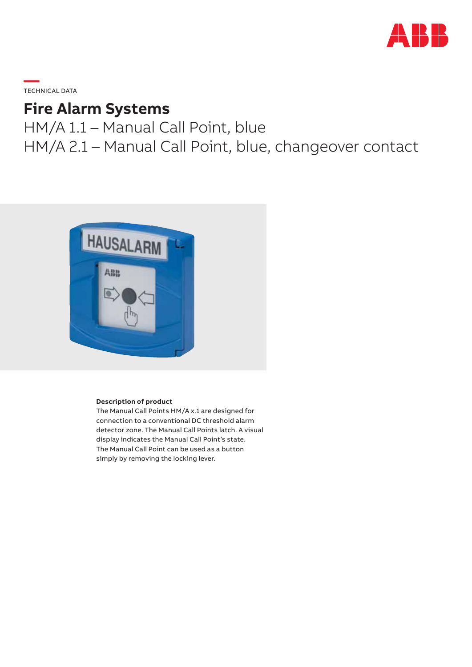

**—**  TECHNICAL DATA

# **Fire Alarm Systems**

HM/A 1.1 – Manual Call Point, blue HM/A 2.1 – Manual Call Point, blue, changeover contact



#### **Description of product**

The Manual Call Points HM/A x.1 are designed for connection to a conventional DC threshold alarm detector zone. The Manual Call Points latch. A visual display indicates the Manual Call Point's state. The Manual Call Point can be used as a button simply by removing the locking lever.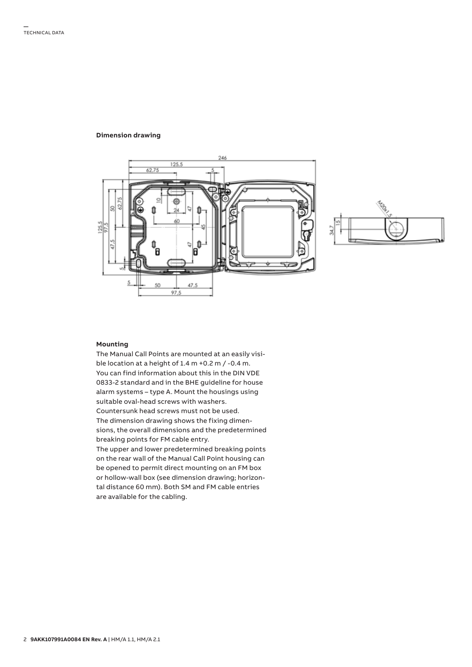#### **Dimension drawing**





#### **Mounting**

The Manual Call Points are mounted at an easily visible location at a height of 1.4 m +0.2 m / -0.4 m. You can find information about this in the DIN VDE 0833-2 standard and in the BHE guideline for house alarm systems – type A. Mount the housings using suitable oval-head screws with washers. Countersunk head screws must not be used. The dimension drawing shows the fixing dimensions, the overall dimensions and the predetermined breaking points for FM cable entry. The upper and lower predetermined breaking points on the rear wall of the Manual Call Point housing can be opened to permit direct mounting on an FM box or hollow-wall box (see dimension drawing; horizontal distance 60 mm). Both SM and FM cable entries are available for the cabling.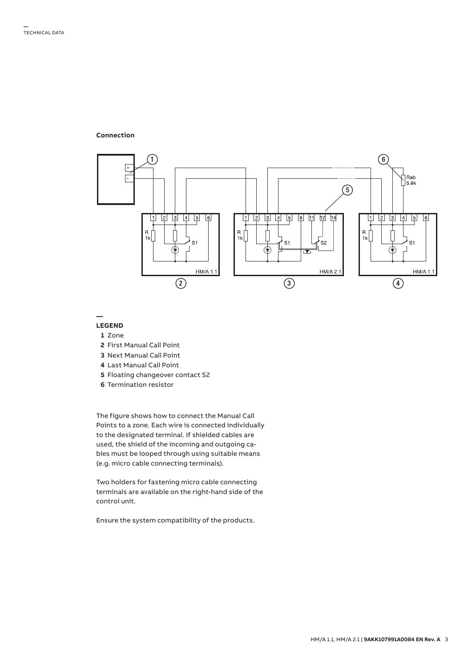**Connection**



**—**

## **LEGEND**

- **1** Zone
- **2** First Manual Call Point
- **3** Next Manual Call Point
- **4** Last Manual Call Point
- **5** Floating changeover contact S2
- **6** Termination resistor

The figure shows how to connect the Manual Call Points to a zone. Each wire is connected individually to the designated terminal. If shielded cables are used, the shield of the incoming and outgoing cables must be looped through using suitable means (e.g. micro cable connecting terminals).

Two holders for fastening micro cable connecting terminals are available on the right-hand side of the control unit.

Ensure the system compatibility of the products.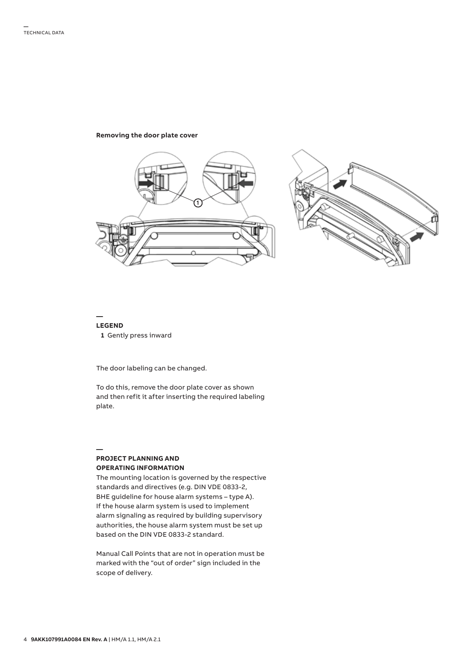#### **Removing the door plate cover**



#### **— LEGEND   1** Gently press inward

The door labeling can be changed.

To do this, remove the door plate cover as shown and then refit it after inserting the required labeling plate.

#### **— PROJECT PLANNING AND OPERATING INFORMATION**

The mounting location is governed by the respective standards and directives (e.g. DIN VDE 0833-2, BHE guideline for house alarm systems – type A). If the house alarm system is used to implement alarm signaling as required by building supervisory authorities, the house alarm system must be set up based on the DIN VDE 0833-2 standard.

Manual Call Points that are not in operation must be marked with the "out of order" sign included in the scope of delivery.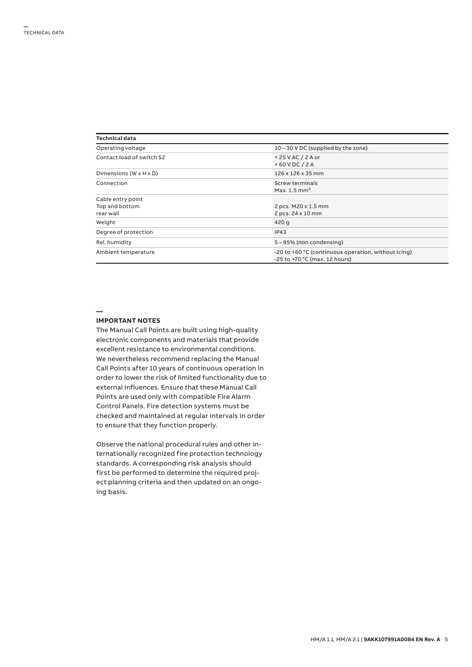| Technical data            |                                                                                      |  |  |
|---------------------------|--------------------------------------------------------------------------------------|--|--|
| Operating voltage         | 10 – 30 V DC (supplied by the zone)                                                  |  |  |
| Contact load of switch S2 | $< 25$ V AC / 2 A or<br>$<$ 60 V DC / 2 A                                            |  |  |
| Dimensions (W x H x D)    | 126 x 126 x 35 mm                                                                    |  |  |
| Connection                | Screw terminals<br>Max. $1.5$ mm <sup>2</sup>                                        |  |  |
| Cable entry point         |                                                                                      |  |  |
| Top and bottom            | 2 pcs. M20 x 1.5 mm                                                                  |  |  |
| rear wall                 | 2 pcs. 24 x 10 mm                                                                    |  |  |
| Weight                    | 420 g                                                                                |  |  |
| Degree of protection      | IP43                                                                                 |  |  |
| Rel. humidity             | 5 – 95% (non condensing)                                                             |  |  |
| Ambient temperature       | -20 to +60 °C (continuous operation, without icing)<br>-25 to +70 °C (max. 12 hours) |  |  |

**—**

#### **IMPORTANT NOTES**

The Manual Call Points are built using high-quality electronic components and materials that provide excellent resistance to environmental conditions. We nevertheless recommend replacing the Manual Call Points after 10 years of continuous operation in order to lower the risk of limited functionality due to external influences. Ensure that these Manual Call Points are used only with compatible Fire Alarm Control Panels. Fire detection systems must be checked and maintained at regular intervals in order to ensure that they function properly.

Observe the national procedural rules and other internationally recognized fire protection technology standards. A corresponding risk analysis should first be performed to determine the required project planning criteria and then updated on an ongoing basis.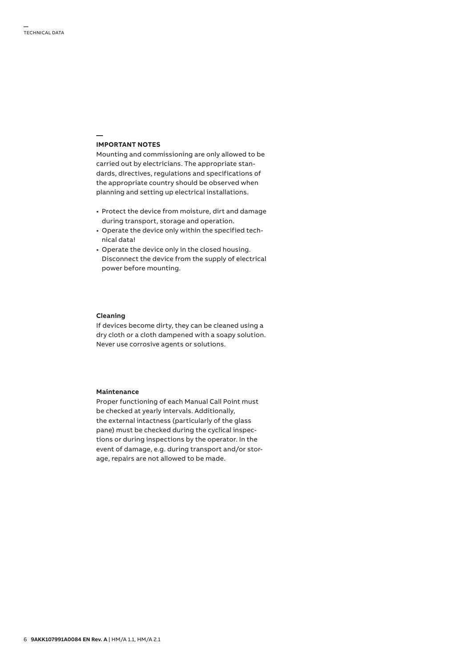#### **IMPORTANT NOTES**

**—**

Mounting and commissioning are only allowed to be carried out by electricians. The appropriate standards, directives, regulations and specifications of the appropriate country should be observed when planning and setting up electrical installations.

- Protect the device from moisture, dirt and damage during transport, storage and operation.
- Operate the device only within the specified technical data!
- Operate the device only in the closed housing. Disconnect the device from the supply of electrical power before mounting.

### **Cleaning**

If devices become dirty, they can be cleaned using a dry cloth or a cloth dampened with a soapy solution. Never use corrosive agents or solutions.

#### **Maintenance**

Proper functioning of each Manual Call Point must be checked at yearly intervals. Additionally, the external intactness (particularly of the glass pane) must be checked during the cyclical inspections or during inspections by the operator. In the event of damage, e.g. during transport and/or storage, repairs are not allowed to be made.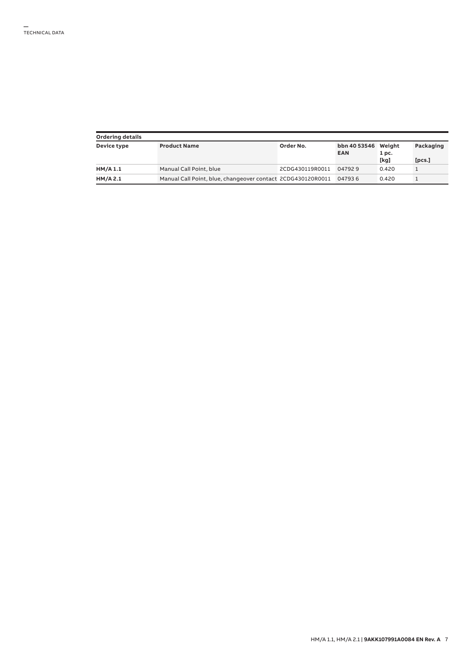| Ordering details |                                                             |                 |                                   |                          |                     |  |  |
|------------------|-------------------------------------------------------------|-----------------|-----------------------------------|--------------------------|---------------------|--|--|
| Device type      | <b>Product Name</b>                                         | Order No.       | bbn 40 53546 Weight<br><b>EAN</b> | 1 <sub>pc.</sub><br>[kg] | Packaging<br>[pcs.] |  |  |
| HM/A 1.1         | Manual Call Point, blue                                     | 2CDG430119R0011 | 047929                            | 0.420                    |                     |  |  |
| HM/A 2.1         | Manual Call Point, blue, changeover contact 2CDG430120R0011 |                 | 047936                            | 0.420                    |                     |  |  |